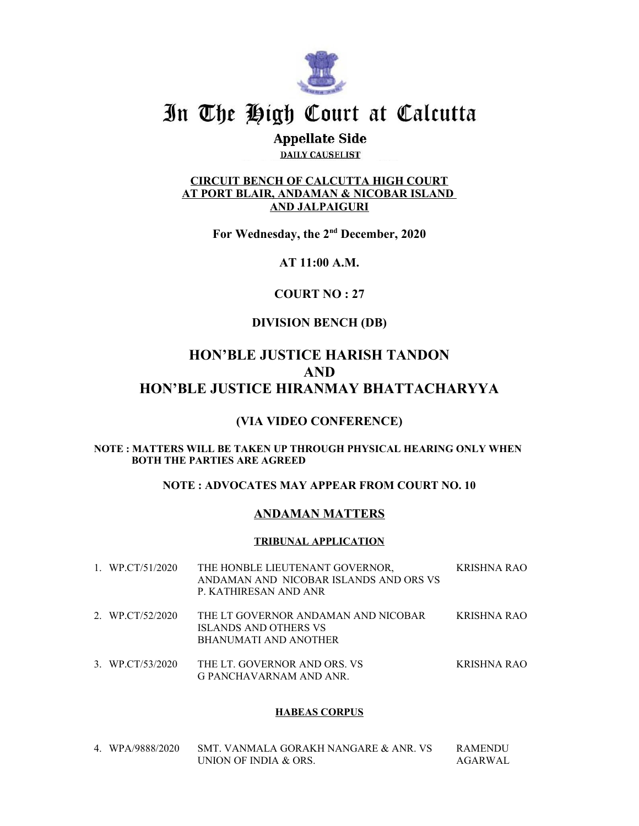

# In The High Court at Calcutta

## **Appellate Side**

**DAILY CAUSELIST** 

## **CIRCUIT BENCH OF CALCUTTA HIGH COURT AT PORT BLAIR, ANDAMAN & NICOBAR ISLAND AND JALPAIGURI**

**For Wednesday, the 2nd December, 2020**

**AT 11:00 A.M.**

## **COURT NO : 27**

## **DIVISION BENCH (DB)**

## **HON'BLE JUSTICE HARISH TANDON AND HON'BLE JUSTICE HIRANMAY BHATTACHARYYA**

## **(VIA VIDEO CONFERENCE)**

## **NOTE : MATTERS WILL BE TAKEN UP THROUGH PHYSICAL HEARING ONLY WHEN BOTH THE PARTIES ARE AGREED**

## **NOTE : ADVOCATES MAY APPEAR FROM COURT NO. 10**

## **ANDAMAN MATTERS**

## **TRIBUNAL APPLICATION**

| 1. WP.CT/51/2020 | THE HONBLE LIEUTENANT GOVERNOR,<br>ANDAMAN AND NICOBAR ISLANDS AND ORS VS<br>P. KATHIRESAN AND ANR | KRISHNA RAO |
|------------------|----------------------------------------------------------------------------------------------------|-------------|
| 2. WP.CT/52/2020 | THE LT GOVERNOR ANDAMAN AND NICOBAR<br>ISLANDS AND OTHERS VS<br>BHANUMATI AND ANOTHER              | KRISHNA RAO |
| 3. WP.CT/53/2020 | THE LT. GOVERNOR AND ORS. VS<br>G PANCHAVARNAM AND ANR.                                            | KRISHNA RAO |

## **HABEAS CORPUS**

4. WPA/9888/2020 SMT. VANMALA GORAKH NANGARE & ANR. VS RAMENDU UNION OF INDIA & ORS. AGARWAL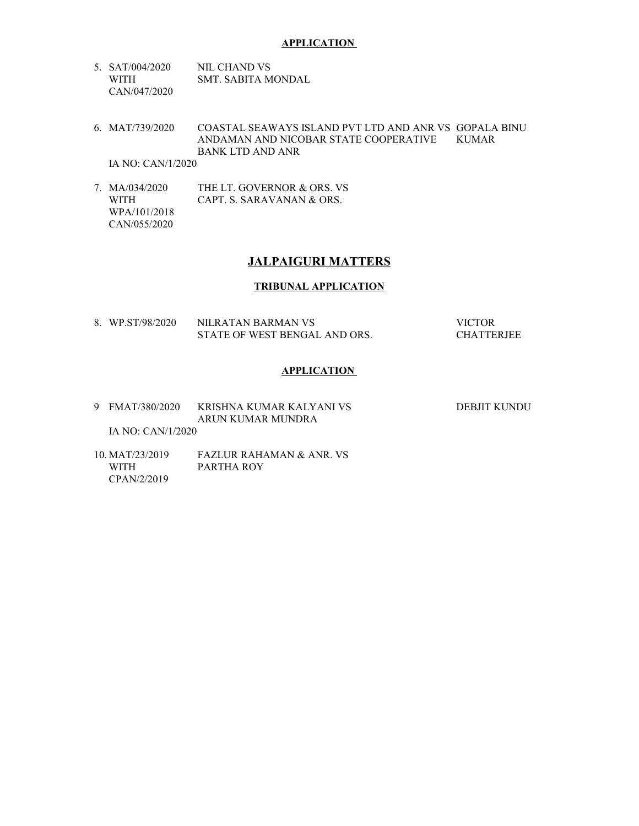- 5. SAT/004/2020 NIL CHAND VS WITH SMT. SABITA MONDAL CAN/047/2020
- 6. MAT/739/2020 COASTAL SEAWAYS ISLAND PVT LTD AND ANR VS GOPALA BINU ANDAMAN AND NICOBAR STATE COOPERATIVE KUMAR BANK LTD AND ANR

IA NO: CAN/1/2020

7. MA/034/2020 THE LT. GOVERNOR & ORS. VS WITH CAPT. S. SARAVANAN & ORS. WPA/101/2018 CAN/055/2020

## **JALPAIGURI MATTERS**

#### **TRIBUNAL APPLICATION**

| 8. WP.ST/98/2020 | NILRATAN BARMAN VS            | <b>VICTOR</b>     |
|------------------|-------------------------------|-------------------|
|                  | STATE OF WEST BENGAL AND ORS. | <b>CHATTERJEE</b> |

#### **APPLICATION**

| 9 FMAT/380/2020         | KRISHNA KUMAR KALYANI VS | DEBJIT KUNDU |
|-------------------------|--------------------------|--------------|
|                         | ARUN KUMAR MUNDRA        |              |
| $IA$ $N_O$ $CAN/1/2020$ |                          |              |

IA NO: CAN/1/2020

10. MAT/23/2019 FAZLUR RAHAMAN & ANR. VS WITH PARTHA ROY PARTHA ROY CPAN/2/2019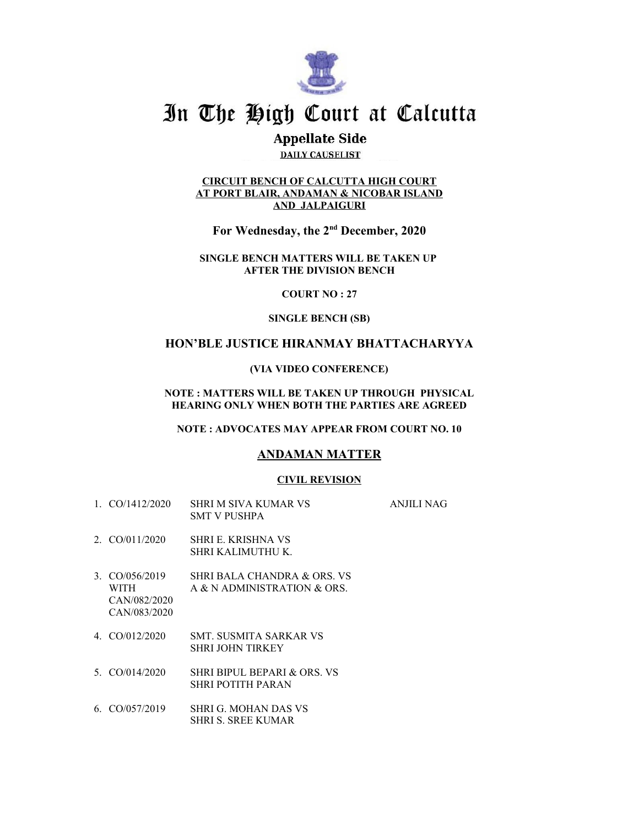

## In The High Court at Calcutta

## **Appellate Side**

**DAILY CAUSELIST** 

#### **CIRCUIT BENCH OF CALCUTTA HIGH COURT AT PORT BLAIR, ANDAMAN & NICOBAR ISLAND AND JALPAIGURI**

**For Wednesday, the 2nd December, 2020**

**SINGLE BENCH MATTERS WILL BE TAKEN UP AFTER THE DIVISION BENCH**

**COURT NO : 27**

#### **SINGLE BENCH (SB)**

## **HON'BLE JUSTICE HIRANMAY BHATTACHARYYA**

#### **(VIA VIDEO CONFERENCE)**

#### **NOTE : MATTERS WILL BE TAKEN UP THROUGH PHYSICAL HEARING ONLY WHEN BOTH THE PARTIES ARE AGREED**

#### **NOTE : ADVOCATES MAY APPEAR FROM COURT NO. 10**

## **ANDAMAN MATTER**

#### **CIVIL REVISION**

- 1. CO/1412/2020 SHRI M SIVA KUMAR VS ANJILI NAG SMT V PUSHPA
- 2. CO/011/2020 SHRI E. KRISHNA VS SHRI KALIMUTHU K.
- 3. CO/056/2019 SHRI BALA CHANDRA & ORS. VS WITH A & N ADMINISTRATION & ORS. CAN/082/2020 CAN/083/2020
- 4. CO/012/2020 SMT. SUSMITA SARKAR VS SHRI JOHN TIRKEY
- 5. CO/014/2020 SHRI BIPUL BEPARI & ORS. VS SHRI POTITH PARAN
- 6. CO/057/2019 SHRI G. MOHAN DAS VS SHRI S. SREE KUMAR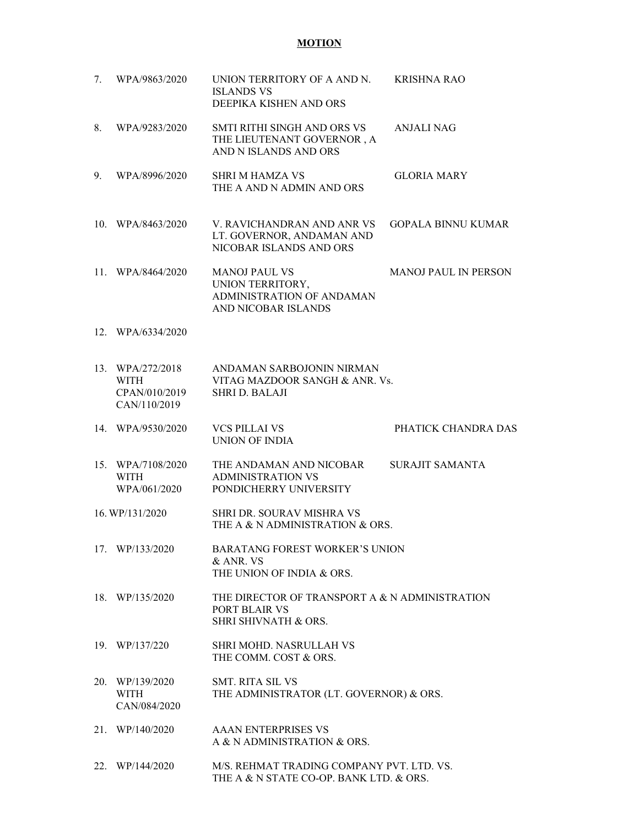## **MOTION**

| 7. | WPA/9863/2020                                             | UNION TERRITORY OF A AND N.<br><b>ISLANDS VS</b><br>DEEPIKA KISHEN AND ORS                     | <b>KRISHNA RAO</b>          |
|----|-----------------------------------------------------------|------------------------------------------------------------------------------------------------|-----------------------------|
| 8. | WPA/9283/2020                                             | SMTI RITHI SINGH AND ORS VS<br>THE LIEUTENANT GOVERNOR, A<br>AND N ISLANDS AND ORS             | <b>ANJALI NAG</b>           |
| 9. | WPA/8996/2020                                             | <b>SHRI M HAMZA VS</b><br>THE A AND N ADMIN AND ORS                                            | <b>GLORIA MARY</b>          |
|    | 10. WPA/8463/2020                                         | V. RAVICHANDRAN AND ANR VS<br>LT. GOVERNOR, ANDAMAN AND<br>NICOBAR ISLANDS AND ORS             | <b>GOPALA BINNU KUMAR</b>   |
|    | 11. WPA/8464/2020                                         | <b>MANOJ PAUL VS</b><br>UNION TERRITORY,<br>ADMINISTRATION OF ANDAMAN<br>AND NICOBAR ISLANDS   | <b>MANOJ PAUL IN PERSON</b> |
|    | 12. WPA/6334/2020                                         |                                                                                                |                             |
|    | 13. WPA/272/2018<br>WITH<br>CPAN/010/2019<br>CAN/110/2019 | ANDAMAN SARBOJONIN NIRMAN<br>VITAG MAZDOOR SANGH & ANR. Vs.<br><b>SHRI D. BALAJI</b>           |                             |
|    | 14. WPA/9530/2020                                         | <b>VCS PILLAI VS</b><br>UNION OF INDIA                                                         | PHATICK CHANDRA DAS         |
|    | 15. WPA/7108/2020<br>WITH<br>WPA/061/2020                 | THE ANDAMAN AND NICOBAR<br><b>ADMINISTRATION VS</b><br>PONDICHERRY UNIVERSITY                  | <b>SURAJIT SAMANTA</b>      |
|    | 16. WP/131/2020                                           | SHRI DR. SOURAV MISHRA VS<br>THE A & N ADMINISTRATION & ORS.                                   |                             |
|    | 17. WP/133/2020                                           | <b>BARATANG FOREST WORKER'S UNION</b><br>& ANR. VS<br>THE UNION OF INDIA & ORS.                |                             |
|    | 18. WP/135/2020                                           | THE DIRECTOR OF TRANSPORT A & N ADMINISTRATION<br><b>PORT BLAIR VS</b><br>SHRI SHIVNATH & ORS. |                             |
|    | 19. WP/137/220                                            | <b>SHRI MOHD. NASRULLAH VS</b><br>THE COMM. COST & ORS.                                        |                             |
|    | 20. WP/139/2020<br><b>WITH</b><br>CAN/084/2020            | <b>SMT. RITA SIL VS</b><br>THE ADMINISTRATOR (LT. GOVERNOR) & ORS.                             |                             |
|    | 21. WP/140/2020                                           | <b>AAAN ENTERPRISES VS</b><br>A & N ADMINISTRATION & ORS.                                      |                             |
|    | 22. WP/144/2020                                           | M/S. REHMAT TRADING COMPANY PVT. LTD. VS.<br>THE A & N STATE CO-OP. BANK LTD. & ORS.           |                             |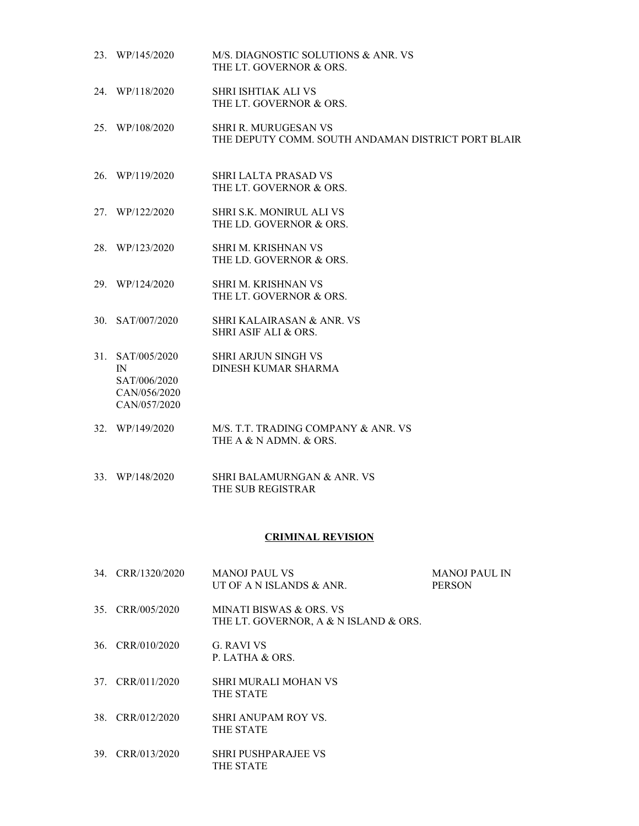23. WP/145/2020 M/S. DIAGNOSTIC SOLUTIONS & ANR. VS THE LT. GOVERNOR & ORS. 24. WP/118/2020 SHRI ISHTIAK ALI VS THE LT. GOVERNOR & ORS. 25. WP/108/2020 SHRI R. MURUGESAN VS THE DEPUTY COMM. SOUTH ANDAMAN DISTRICT PORT BLAIR 26. WP/119/2020 SHRI LALTA PRASAD VS THE LT. GOVERNOR & ORS. 27. WP/122/2020 SHRI S.K. MONIRUL ALI VS THE LD. GOVERNOR & ORS. 28. WP/123/2020 SHRI M. KRISHNAN VS THE LD. GOVERNOR & ORS. 29. WP/124/2020 SHRI M. KRISHNAN VS THE LT. GOVERNOR & ORS. 30. SAT/007/2020 SHRI KALAIRASAN & ANR. VS SHRI ASIF ALI & ORS. 31. SAT/005/2020 SHRI ARJUN SINGH VS IN DINESH KUMAR SHARMA SAT/006/2020 CAN/056/2020 CAN/057/2020 32. WP/149/2020 M/S. T.T. TRADING COMPANY & ANR. VS THE A & N ADMN. & ORS. 33. WP/148/2020 SHRI BALAMURNGAN & ANR. VS THE SUB REGISTRAR

#### **CRIMINAL REVISION**

|     | 34. CRR/1320/2020 | <b>MANOJ PAUL VS</b><br>UT OF A N ISLANDS & ANR.                 | <b>MANOJ PAUL IN</b><br><b>PERSON</b> |
|-----|-------------------|------------------------------------------------------------------|---------------------------------------|
|     | 35. CRR/005/2020  | MINATI BISWAS & ORS. VS<br>THE LT. GOVERNOR, A & N ISLAND & ORS. |                                       |
|     | 36. CRR/010/2020  | G. RAVI VS<br>P. LATHA & ORS.                                    |                                       |
|     | 37. CRR/011/2020  | <b>SHRI MURALI MOHAN VS</b><br>THE STATE                         |                                       |
|     | 38. CRR/012/2020  | <b>SHRI ANUPAM ROY VS.</b><br>THE STATE                          |                                       |
| 39. | CRR/013/2020      | <b>SHRI PUSHPARAJEE VS</b><br>THE STATE                          |                                       |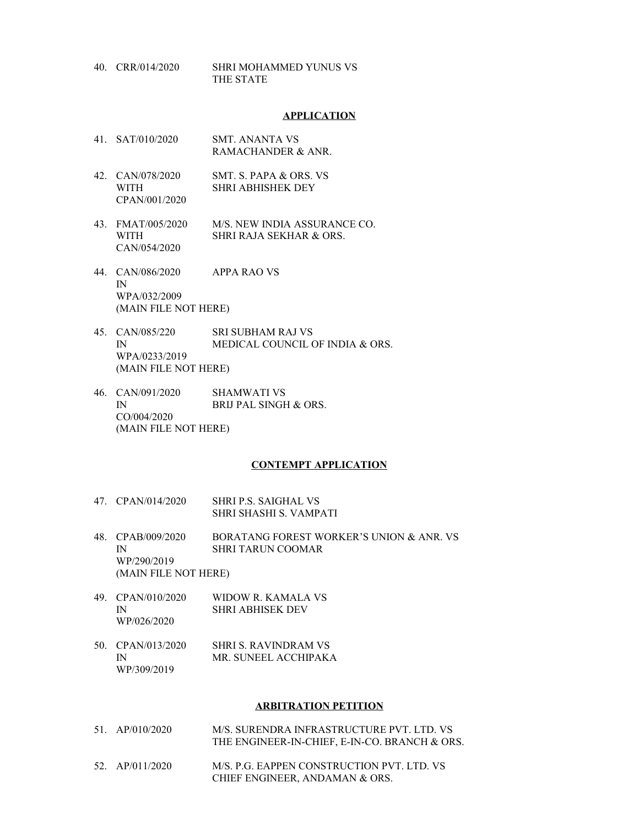40. CRR/014/2020 SHRI MOHAMMED YUNUS VS THE STATE

#### **APPLICATION**

- 41. SAT/010/2020 SMT. ANANTA VS RAMACHANDER & ANR.
- 42. CAN/078/2020 SMT. S. PAPA & ORS. VS WITH SHRI ABHISHEK DEY CPAN/001/2020
- 43. FMAT/005/2020 M/S. NEW INDIA ASSURANCE CO. WITH SHRI RAJA SEKHAR & ORS. CAN/054/2020
- 44. CAN/086/2020 APPA RAO VS IN WPA/032/2009 (MAIN FILE NOT HERE)
- 45. CAN/085/220 SRI SUBHAM RAJ VS IN MEDICAL COUNCIL OF INDIA & ORS. WPA/0233/2019 (MAIN FILE NOT HERE)
- 46. CAN/091/2020 SHAMWATI VS IN BRIJ PAL SINGH & ORS. CO/004/2020 (MAIN FILE NOT HERE)

#### **CONTEMPT APPLICATION**

- 47. CPAN/014/2020 SHRI P.S. SAIGHAL VS SHRI SHASHI S. VAMPATI
- 48. CPAB/009/2020 BORATANG FOREST WORKER'S UNION & ANR. VS IN SHRI TARUN COOMAR WP/290/2019 (MAIN FILE NOT HERE)
- 49. CPAN/010/2020 WIDOW R. KAMALA VS IN SHRI ABHISEK DEV WP/026/2020
- 50. CPAN/013/2020 SHRI S. RAVINDRAM VS IN MR. SUNEEL ACCHIPAKA WP/309/2019

#### **ARBITRATION PETITION**

- 51. AP/010/2020 M/S. SURENDRA INFRASTRUCTURE PVT. LTD. VS THE ENGINEER-IN-CHIEF, E-IN-CO. BRANCH & ORS.
- 52. AP/011/2020 M/S. P.G. EAPPEN CONSTRUCTION PVT. LTD. VS CHIEF ENGINEER, ANDAMAN & ORS.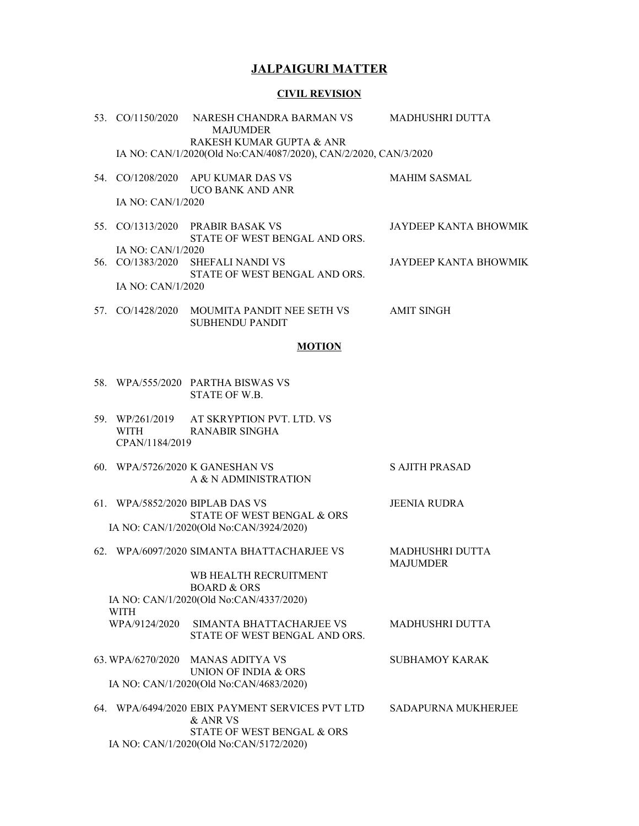## **JALPAIGURI MATTER**

#### **CIVIL REVISION**

|     |                   | 53. CO/1150/2020 NARESH CHANDRA BARMAN VS<br><b>MAJUMDER</b>      | MADHUSHRI DUTTA       |
|-----|-------------------|-------------------------------------------------------------------|-----------------------|
|     |                   | RAKESH KUMAR GUPTA & ANR                                          |                       |
|     |                   | IA NO: CAN/1/2020(Old No:CAN/4087/2020), CAN/2/2020, CAN/3/2020   |                       |
| 54. |                   | $CO/1208/2020$ APU KUMAR DAS VS<br>UCO BANK AND ANR               | MAHIM SASMAL          |
|     | IA NO: CAN/1/2020 |                                                                   |                       |
|     |                   | 55. CO/1313/2020 PRABIR BASAK VS<br>STATE OF WEST BENGAL AND ORS. | JAYDEEP KANTA BHOWMIK |
|     | IA NO: CAN/1/2020 |                                                                   |                       |
| 56. |                   | CO/1383/2020 SHEFALI NANDI VS<br>STATE OF WEST BENGAL AND ORS.    | JAYDEEP KANTA BHOWMIK |
|     | IA NO: CAN/1/2020 |                                                                   |                       |
| 57. |                   | CO/1428/2020 MOUMITA PANDIT NEE SETH VS                           | <b>AMIT SINGH</b>     |

#### **MOTION**

- 58. WPA/555/2020 PARTHA BISWAS VS STATE OF W.B.
- 59. WP/261/2019 AT SKRYPTION PVT. LTD. VS WITH RANABIR SINGHA CPAN/1184/2019

SUBHENDU PANDIT

- 60. WPA/5726/2020 K GANESHAN VS S AJITH PRASAD A & N ADMINISTRATION
- 61. WPA/5852/2020 BIPLAB DAS VS JEENIA RUDRA STATE OF WEST BENGAL & ORS IA NO: CAN/1/2020(Old No:CAN/3924/2020)
- 62. WPA/6097/2020 SIMANTA BHATTACHARJEE VS MADHUSHRI DUTTA

MAJUMDER WB HEALTH RECRUITMENT BOARD & ORS IA NO: CAN/1/2020(Old No:CAN/4337/2020) WITH WPA/9124/2020 SIMANTA BHATTACHARJEE VS MADHUSHRI DUTTA STATE OF WEST BENGAL AND ORS.

- 63. WPA/6270/2020 MANAS ADITYA VS SUBHAMOY KARAK UNION OF INDIA & ORS IA NO: CAN/1/2020(Old No:CAN/4683/2020)
- 64. WPA/6494/2020 EBIX PAYMENT SERVICES PVT LTD SADAPURNA MUKHERJEE & ANR VS STATE OF WEST BENGAL & ORS IA NO: CAN/1/2020(Old No:CAN/5172/2020)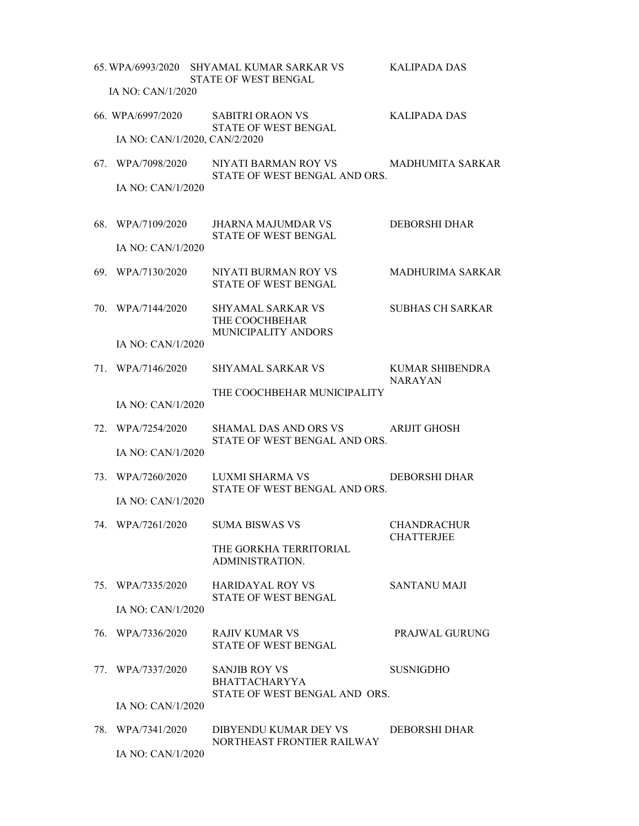|                               | 65. WPA/6993/2020 SHYAMAL KUMAR SARKAR VS KALIPADA DAS                                   |                                         |
|-------------------------------|------------------------------------------------------------------------------------------|-----------------------------------------|
| IA NO: CAN/1/2020             | STATE OF WEST BENGAL                                                                     |                                         |
|                               |                                                                                          |                                         |
|                               | 66. WPA/6997/2020 SABITRI ORAON VS<br><b>STATE OF WEST BENGAL</b>                        | KALIPADA DAS                            |
| IA NO: CAN/1/2020, CAN/2/2020 |                                                                                          |                                         |
|                               | 67. WPA/7098/2020 NIYATI BARMAN ROY VS MADHUMITA SARKAR<br>STATE OF WEST BENGAL AND ORS. |                                         |
| IA NO: CAN/1/2020             |                                                                                          |                                         |
| 68. WPA/7109/2020             | JHARNA MAJUMDAR VS                                                                       | DEBORSHI DHAR                           |
| IA NO: CAN/1/2020             | <b>STATE OF WEST BENGAL</b>                                                              |                                         |
| 69. WPA/7130/2020             | NIYATI BURMAN ROY VS<br>STATE OF WEST BENGAL                                             | <b>MADHURIMA SARKAR</b>                 |
| 70. WPA/7144/2020             | SHYAMAL SARKAR VS<br>THE COOCHBEHAR<br>MUNICIPALITY ANDORS                               | SUBHAS CH SARKAR                        |
| IA NO: CAN/1/2020             |                                                                                          |                                         |
| 71. WPA/7146/2020             | SHYAMAL SARKAR VS                                                                        | KUMAR SHIBENDRA<br><b>NARAYAN</b>       |
| IA NO: CAN/1/2020             | THE COOCHBEHAR MUNICIPALITY                                                              |                                         |
| 72. WPA/7254/2020             | SHAMAL DAS AND ORS VS ARIJIT GHOSH<br>STATE OF WEST BENGAL AND ORS.                      |                                         |
| IA NO: CAN/1/2020             |                                                                                          |                                         |
| 73. WPA/7260/2020             | LUXMI SHARMA VS<br>STATE OF WEST BENGAL AND ORS.                                         | <b>DEBORSHI DHAR</b>                    |
| IA NO: CAN/1/2020             |                                                                                          |                                         |
|                               | 74. WPA/7261/2020 SUMA BISWAS VS                                                         | <b>CHANDRACHUR</b><br><b>CHATTERJEE</b> |
|                               | THE GORKHA TERRITORIAL<br>ADMINISTRATION.                                                |                                         |
| 75. WPA/7335/2020             | <b>HARIDAYAL ROY VS</b><br><b>STATE OF WEST BENGAL</b>                                   | <b>SANTANU MAJI</b>                     |
| IA NO: CAN/1/2020             |                                                                                          |                                         |
| 76. WPA/7336/2020             | RAJIV KUMAR VS<br><b>STATE OF WEST BENGAL</b>                                            | PRAJWAL GURUNG                          |
| 77. WPA/7337/2020             | <b>SANJIB ROY VS</b><br><b>BHATTACHARYYA</b>                                             | <b>SUSNIGDHO</b>                        |
| IA NO: CAN/1/2020             | STATE OF WEST BENGAL AND ORS.                                                            |                                         |
| 78. WPA/7341/2020             | DIBYENDU KUMAR DEY VS DEBORSHI DHAR<br>NORTHEAST FRONTIER RAILWAY                        |                                         |
| IA NO: CAN/1/2020             |                                                                                          |                                         |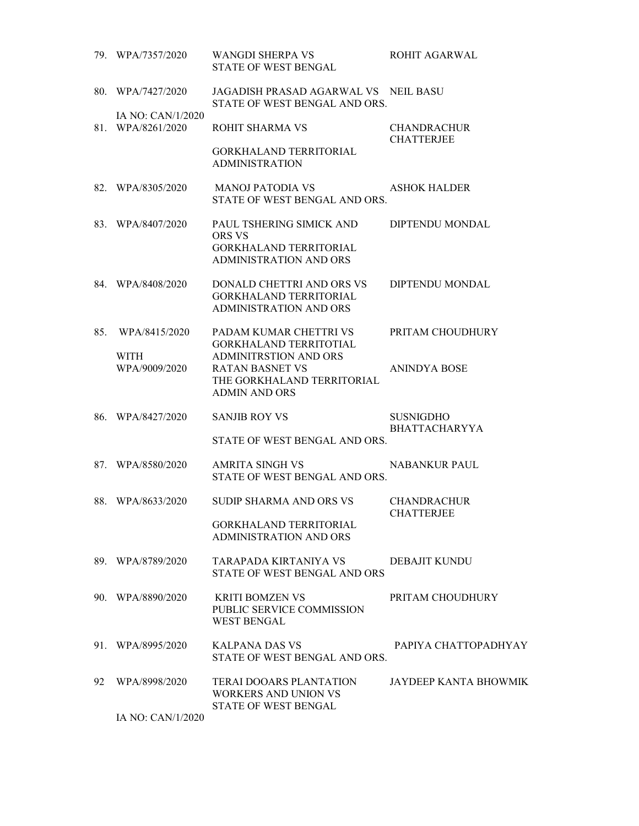|     | 79. WPA/7357/2020                      | <b>WANGDI SHERPA VS</b><br>STATE OF WEST BENGAL                                                             | ROHIT AGARWAL                            |
|-----|----------------------------------------|-------------------------------------------------------------------------------------------------------------|------------------------------------------|
|     | 80. WPA/7427/2020                      | JAGADISH PRASAD AGARWAL VS NEIL BASU<br>STATE OF WEST BENGAL AND ORS.                                       |                                          |
|     | IA NO: CAN/1/2020<br>81. WPA/8261/2020 | ROHIT SHARMA VS                                                                                             | <b>CHANDRACHUR</b>                       |
|     |                                        | <b>GORKHALAND TERRITORIAL</b><br><b>ADMINISTRATION</b>                                                      | <b>CHATTERJEE</b>                        |
|     | 82. WPA/8305/2020                      | <b>MANOJ PATODIA VS</b><br>STATE OF WEST BENGAL AND ORS.                                                    | <b>ASHOK HALDER</b>                      |
|     | 83. WPA/8407/2020                      | PAUL TSHERING SIMICK AND<br><b>ORS VS</b><br><b>GORKHALAND TERRITORIAL</b><br><b>ADMINISTRATION AND ORS</b> | DIPTENDU MONDAL                          |
|     | 84. WPA/8408/2020                      | DONALD CHETTRI AND ORS VS<br><b>GORKHALAND TERRITORIAL</b><br><b>ADMINISTRATION AND ORS</b>                 | DIPTENDU MONDAL                          |
| 85. | WPA/8415/2020                          | PADAM KUMAR CHETTRI VS<br><b>GORKHALAND TERRITOTIAL</b>                                                     | PRITAM CHOUDHURY                         |
|     | <b>WITH</b><br>WPA/9009/2020           | ADMINITRSTION AND ORS<br><b>RATAN BASNET VS</b><br>THE GORKHALAND TERRITORIAL<br><b>ADMIN AND ORS</b>       | <b>ANINDYA BOSE</b>                      |
|     | 86. WPA/8427/2020                      | <b>SANJIB ROY VS</b><br>STATE OF WEST BENGAL AND ORS.                                                       | <b>SUSNIGDHO</b><br><b>BHATTACHARYYA</b> |
|     | 87. WPA/8580/2020                      | <b>AMRITA SINGH VS</b><br>STATE OF WEST BENGAL AND ORS.                                                     | <b>NABANKUR PAUL</b>                     |
|     | 88. WPA/8633/2020                      | SUDIP SHARMA AND ORS VS                                                                                     | <b>CHANDRACHUR</b><br><b>CHATTERJEE</b>  |
|     |                                        | <b>GORKHALAND TERRITORIAL</b><br><b>ADMINISTRATION AND ORS</b>                                              |                                          |
|     | 89. WPA/8789/2020                      | TARAPADA KIRTANIYA VS<br>STATE OF WEST BENGAL AND ORS                                                       | DEBAJIT KUNDU                            |
|     | 90. WPA/8890/2020                      | <b>KRITI BOMZEN VS</b><br>PUBLIC SERVICE COMMISSION<br><b>WEST BENGAL</b>                                   | PRITAM CHOUDHURY                         |
|     | 91. WPA/8995/2020                      | <b>KALPANA DAS VS</b><br>STATE OF WEST BENGAL AND ORS.                                                      | PAPIYA CHATTOPADHYAY                     |
| 92  | WPA/8998/2020                          | <b>TERAI DOOARS PLANTATION</b><br><b>WORKERS AND UNION VS</b>                                               | JAYDEEP KANTA BHOWMIK                    |
|     | IA NO: CAN/1/2020                      | STATE OF WEST BENGAL                                                                                        |                                          |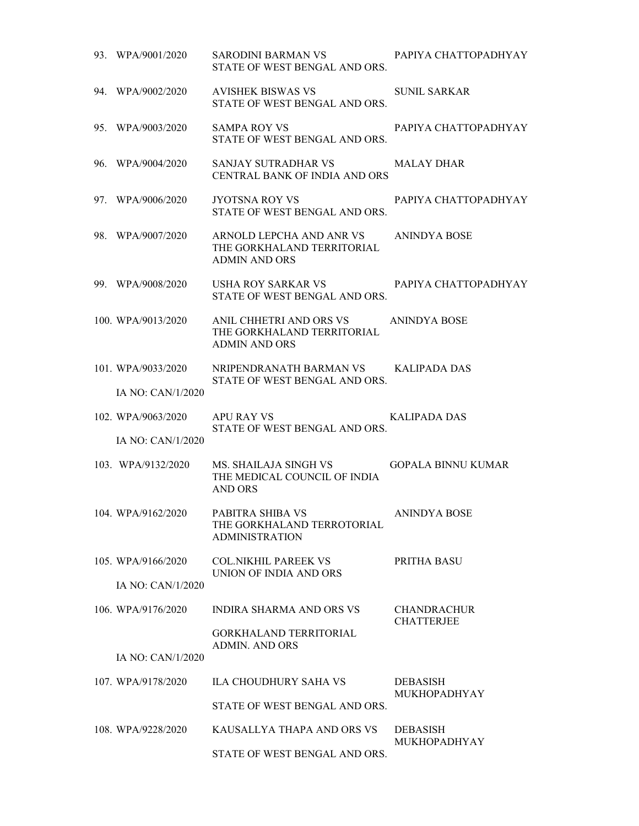|                    | 93. WPA/9001/2020 SARODINI BARMAN VS PAPIYA CHATTOPADHYAY<br>STATE OF WEST BENGAL AND ORS.                    |                                         |
|--------------------|---------------------------------------------------------------------------------------------------------------|-----------------------------------------|
| 94. WPA/9002/2020  | AVISHEK BISWAS VS SUNIL SARKAR<br>STATE OF WEST BENGAL AND ORS.                                               |                                         |
| 95. WPA/9003/2020  | SAMPA ROY VS PAPIYA CHATTOPADHYAY<br>STATE OF WEST BENGAL AND ORS.                                            |                                         |
| 96. WPA/9004/2020  | SANJAY SUTRADHAR VS MALAY DHAR<br>CENTRAL BANK OF INDIA AND ORS                                               |                                         |
| 97. WPA/9006/2020  | JYOTSNA ROY VS PAPIYA CHATTOPADHYAY<br>STATE OF WEST BENGAL AND ORS.                                          |                                         |
| 98. WPA/9007/2020  | ARNOLD LEPCHA AND ANR VS ANINDYA BOSE<br>THE GORKHALAND TERRITORIAL<br><b>ADMIN AND ORS</b>                   |                                         |
|                    | 99. WPA/9008/2020 USHA ROY SARKAR VS PAPIYA CHATTOPADHYAY<br>STATE OF WEST BENGAL AND ORS.                    |                                         |
|                    | 100. WPA/9013/2020 ANIL CHHETRI AND ORS VS ANINDYA BOSE<br>THE GORKHALAND TERRITORIAL<br><b>ADMIN AND ORS</b> |                                         |
|                    | 101. WPA/9033/2020 NRIPENDRANATH BARMAN VS KALIPADA DAS<br>STATE OF WEST BENGAL AND ORS.                      |                                         |
| IA NO: CAN/1/2020  |                                                                                                               |                                         |
|                    | 102. WPA/9063/2020 APU RAY VS KALIPADA DAS<br>STATE OF WEST BENGAL AND ORS.                                   |                                         |
| IA NO: CAN/1/2020  |                                                                                                               |                                         |
| 103. WPA/9132/2020 | MS. SHAILAJA SINGH VS GOPALA BINNU KUMAR<br>THE MEDICAL COUNCIL OF INDIA<br>AND ORS                           |                                         |
|                    | 104. WPA/9162/2020 PABITRA SHIBA VS<br>THE GORKHALAND TERROTORIAL<br><b>ADMINISTRATION</b>                    | <b>EXAMPLE ANIMPY A BOSE</b>            |
| 105. WPA/9166/2020 | <b>COL.NIKHIL PAREEK VS</b>                                                                                   | PRITHA BASU                             |
| IA NO: CAN/1/2020  | UNION OF INDIA AND ORS                                                                                        |                                         |
| 106. WPA/9176/2020 | <b>INDIRA SHARMA AND ORS VS</b>                                                                               | <b>CHANDRACHUR</b><br><b>CHATTERJEE</b> |
|                    | <b>GORKHALAND TERRITORIAL</b><br><b>ADMIN. AND ORS</b>                                                        |                                         |
| IA NO: CAN/1/2020  |                                                                                                               |                                         |
| 107. WPA/9178/2020 | ILA CHOUDHURY SAHA VS                                                                                         | <b>DEBASISH</b><br><b>MUKHOPADHYAY</b>  |
|                    | STATE OF WEST BENGAL AND ORS.                                                                                 |                                         |
| 108. WPA/9228/2020 | KAUSALLYA THAPA AND ORS VS                                                                                    | <b>DEBASISH</b>                         |
|                    | STATE OF WEST BENGAL AND ORS.                                                                                 | <b>MUKHOPADHYAY</b>                     |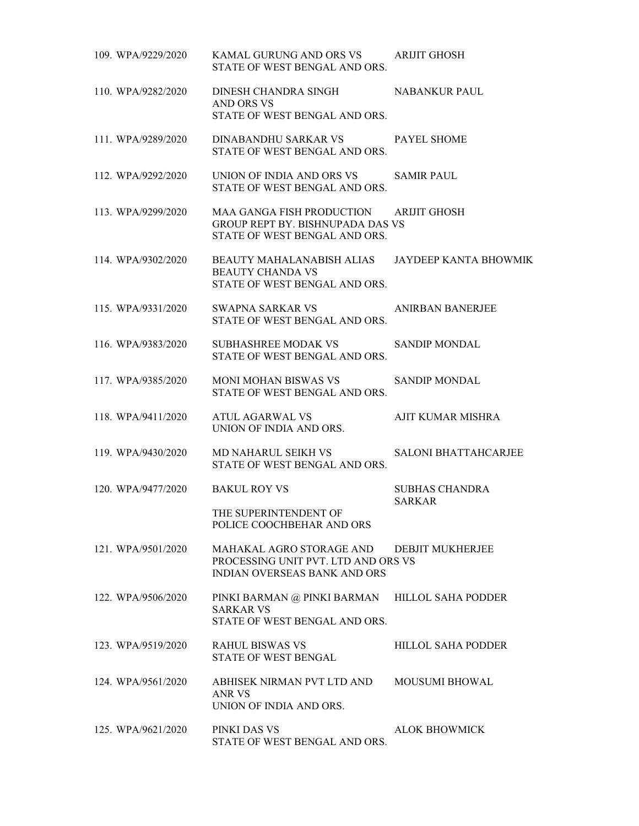| 109. WPA/9229/2020 | KAMAL GURUNG AND ORS VS ARIJIT GHOSH<br>STATE OF WEST BENGAL AND ORS.                                              |                                        |
|--------------------|--------------------------------------------------------------------------------------------------------------------|----------------------------------------|
| 110. WPA/9282/2020 | DINESH CHANDRA SINGH NABANKUR PAUL<br><b>AND ORS VS</b><br>STATE OF WEST BENGAL AND ORS.                           |                                        |
| 111. WPA/9289/2020 | DINABANDHU SARKAR VS PAYEL SHOME<br>STATE OF WEST BENGAL AND ORS.                                                  |                                        |
| 112. WPA/9292/2020 | UNION OF INDIA AND ORS VS SAMIR PAUL<br>STATE OF WEST BENGAL AND ORS.                                              |                                        |
| 113. WPA/9299/2020 | MAA GANGA FISH PRODUCTION ARIJIT GHOSH<br><b>GROUP REPT BY. BISHNUPADA DAS VS</b><br>STATE OF WEST BENGAL AND ORS. |                                        |
| 114. WPA/9302/2020 | BEAUTY MAHALANABISH ALIAS JAYDEEP KANTA BHOWMIK<br><b>BEAUTY CHANDA VS</b><br>STATE OF WEST BENGAL AND ORS.        |                                        |
| 115. WPA/9331/2020 | SWAPNA SARKAR VS<br>STATE OF WEST BENGAL AND ORS.                                                                  | <b>ANIRBAN BANERJEE</b>                |
| 116. WPA/9383/2020 | SUBHASHREE MODAK VS<br>STATE OF WEST BENGAL AND ORS.                                                               | <b>SANDIP MONDAL</b>                   |
| 117. WPA/9385/2020 | MONI MOHAN BISWAS VS<br>STATE OF WEST BENGAL AND ORS.                                                              | <b>SANDIP MONDAL</b>                   |
| 118. WPA/9411/2020 | ATUL AGARWAL VS<br>UNION OF INDIA AND ORS.                                                                         | AJIT KUMAR MISHRA                      |
| 119. WPA/9430/2020 | MD NAHARUL SEIKH VS<br>STATE OF WEST BENGAL AND ORS.                                                               | SALONI BHATTAHCARJEE                   |
| 120. WPA/9477/2020 | <b>BAKUL ROY VS</b>                                                                                                | <b>SUBHAS CHANDRA</b><br><b>SARKAR</b> |
|                    | THE SUPERINTENDENT OF<br>POLICE COOCHBEHAR AND ORS                                                                 |                                        |
| 121. WPA/9501/2020 | MAHAKAL AGRO STORAGE AND<br>PROCESSING UNIT PVT. LTD AND ORS VS<br><b>INDIAN OVERSEAS BANK AND ORS</b>             | <b>DEBJIT MUKHERJEE</b>                |
| 122. WPA/9506/2020 | PINKI BARMAN @ PINKI BARMAN HILLOL SAHA PODDER<br><b>SARKAR VS</b><br>STATE OF WEST BENGAL AND ORS.                |                                        |
| 123. WPA/9519/2020 | <b>RAHUL BISWAS VS</b><br>STATE OF WEST BENGAL                                                                     | <b>HILLOL SAHA PODDER</b>              |
| 124. WPA/9561/2020 | ABHISEK NIRMAN PVT LTD AND<br><b>ANR VS</b><br>UNION OF INDIA AND ORS.                                             | <b>MOUSUMI BHOWAL</b>                  |
| 125. WPA/9621/2020 | PINKI DAS VS<br>STATE OF WEST BENGAL AND ORS.                                                                      | <b>ALOK BHOWMICK</b>                   |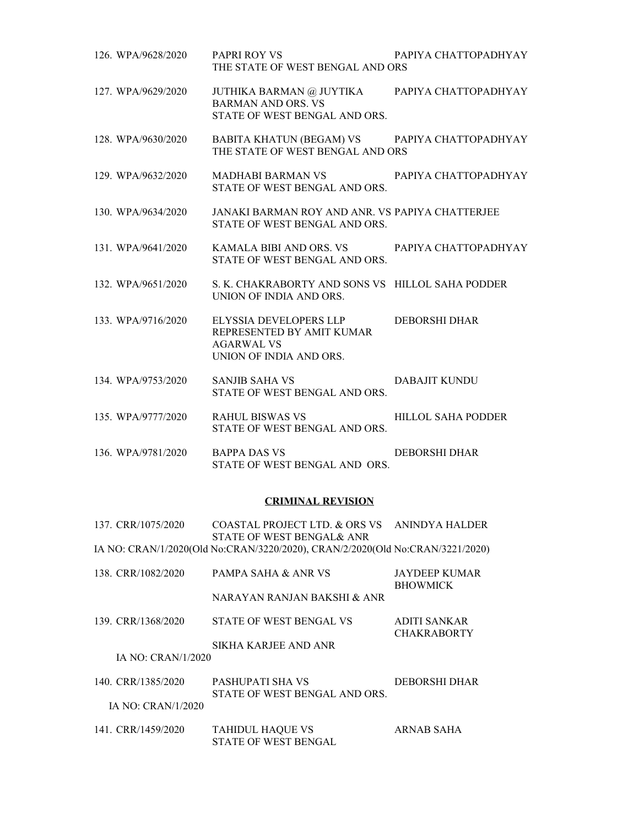126. WPA/9628/2020 PAPRI ROY VS PAPIYA CHATTOPADHYAY THE STATE OF WEST BENGAL AND ORS 127. WPA/9629/2020 JUTHIKA BARMAN @ JUYTIKA PAPIYA CHATTOPADHYAY BARMAN AND ORS. VS STATE OF WEST BENGAL AND ORS. 128. WPA/9630/2020 BABITA KHATUN (BEGAM) VS PAPIYA CHATTOPADHYAY THE STATE OF WEST BENGAL AND ORS 129. WPA/9632/2020 MADHABI BARMAN VS PAPIYA CHATTOPADHYAY STATE OF WEST BENGAL AND ORS. 130. WPA/9634/2020 JANAKI BARMAN ROY AND ANR. VS PAPIYA CHATTERJEE STATE OF WEST BENGAL AND ORS. 131. WPA/9641/2020 KAMALA BIBI AND ORS. VS PAPIYA CHATTOPADHYAY STATE OF WEST BENGAL AND ORS. 132. WPA/9651/2020 S. K. CHAKRABORTY AND SONS VS HILLOL SAHA PODDER UNION OF INDIA AND ORS. 133. WPA/9716/2020 ELYSSIA DEVELOPERS LLP DEBORSHI DHAR REPRESENTED BY AMIT KUMAR AGARWAL VS UNION OF INDIA AND ORS. 134. WPA/9753/2020 SANJIB SAHA VS DABAJIT KUNDU STATE OF WEST BENGAL AND ORS. 135. WPA/9777/2020 RAHUL BISWAS VS HILLOL SAHA PODDER STATE OF WEST BENGAL AND ORS. 136. WPA/9781/2020 BAPPA DAS VS DEBORSHI DHAR STATE OF WEST BENGAL AND ORS.

#### **CRIMINAL REVISION**

137. CRR/1075/2020 COASTAL PROJECT LTD. & ORS VS ANINDYA HALDER STATE OF WEST BENGAL& ANR IA NO: CRAN/1/2020(Old No:CRAN/3220/2020), CRAN/2/2020(Old No:CRAN/3221/2020)

138. CRR/1082/2020 PAMPA SAHA & ANR VS JAYDEEP KUMAR BHOWMICK

NARAYAN RANJAN BAKSHI & ANR

139. CRR/1368/2020 STATE OF WEST BENGAL VS ADITI SANKAR CHAKRABORTY

SIKHA KARJEE AND ANR

IA NO: CRAN/1/2020

140. CRR/1385/2020 PASHUPATI SHA VS DEBORSHI DHAR STATE OF WEST BENGAL AND ORS.

IA NO: CRAN/1/2020

141. CRR/1459/2020 TAHIDUL HAQUE VS ARNAB SAHA STATE OF WEST BENGAL